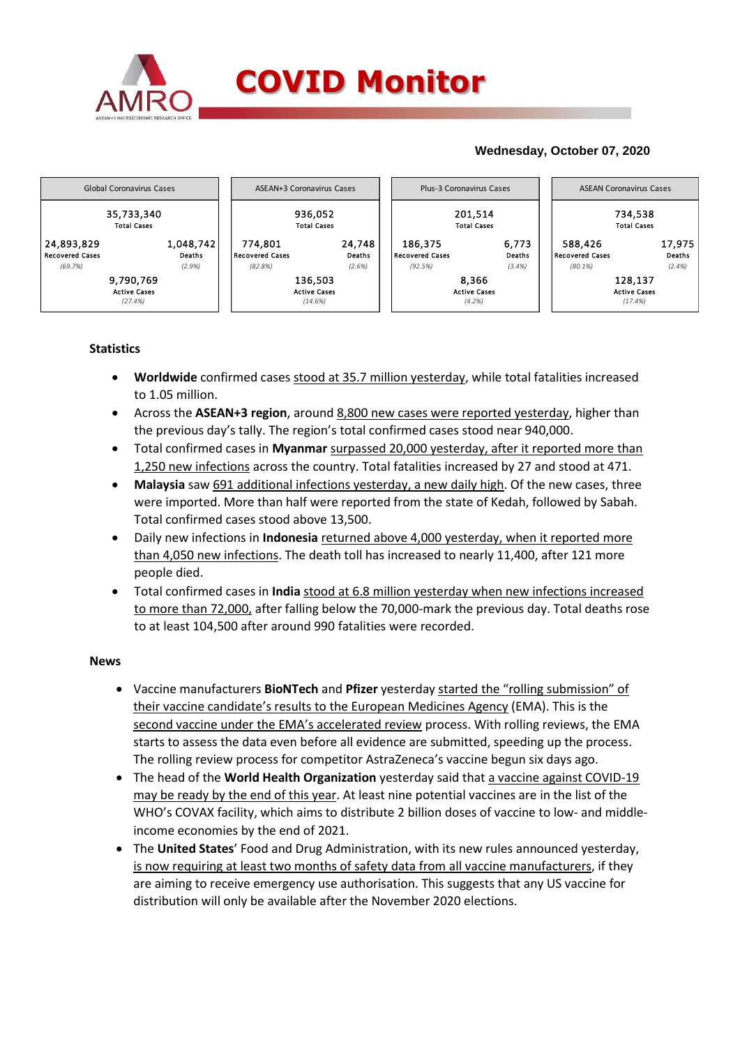

# **Wednesday, October 07, 2020**



# **Statistics**

- **Worldwide** confirmed cases stood at 35.7 million yesterday, while total fatalities increased to 1.05 million.
- Across the **ASEAN+3 region**, around 8,800 new cases were reported yesterday, higher than the previous day's tally. The region's total confirmed cases stood near 940,000.
- Total confirmed cases in **Myanmar** surpassed 20,000 yesterday, after it reported more than 1,250 new infections across the country. Total fatalities increased by 27 and stood at 471.
- **Malaysia** saw 691 additional infections yesterday, a new daily high. Of the new cases, three were imported. More than half were reported from the state of Kedah, followed by Sabah. Total confirmed cases stood above 13,500.
- Daily new infections in **Indonesia** returned above 4,000 yesterday, when it reported more than 4,050 new infections. The death toll has increased to nearly 11,400, after 121 more people died.
- Total confirmed cases in **India** stood at 6.8 million yesterday when new infections increased to more than 72,000, after falling below the 70,000-mark the previous day. Total deaths rose to at least 104,500 after around 990 fatalities were recorded.

### **News**

- Vaccine manufacturers **BioNTech** and **Pfizer** yesterday started the "rolling submission" of their vaccine candidate's results to the European Medicines Agency (EMA). This is the second vaccine under the EMA's accelerated review process. With rolling reviews, the EMA starts to assess the data even before all evidence are submitted, speeding up the process. The rolling review process for competitor AstraZeneca's vaccine begun six days ago.
- The head of the **World Health Organization** yesterday said that a vaccine against COVID-19 may be ready by the end of this year. At least nine potential vaccines are in the list of the WHO's COVAX facility, which aims to distribute 2 billion doses of vaccine to low- and middleincome economies by the end of 2021.
- The **United States**' Food and Drug Administration, with its new rules announced yesterday, is now requiring at least two months of safety data from all vaccine manufacturers, if they are aiming to receive emergency use authorisation. This suggests that any US vaccine for distribution will only be available after the November 2020 elections.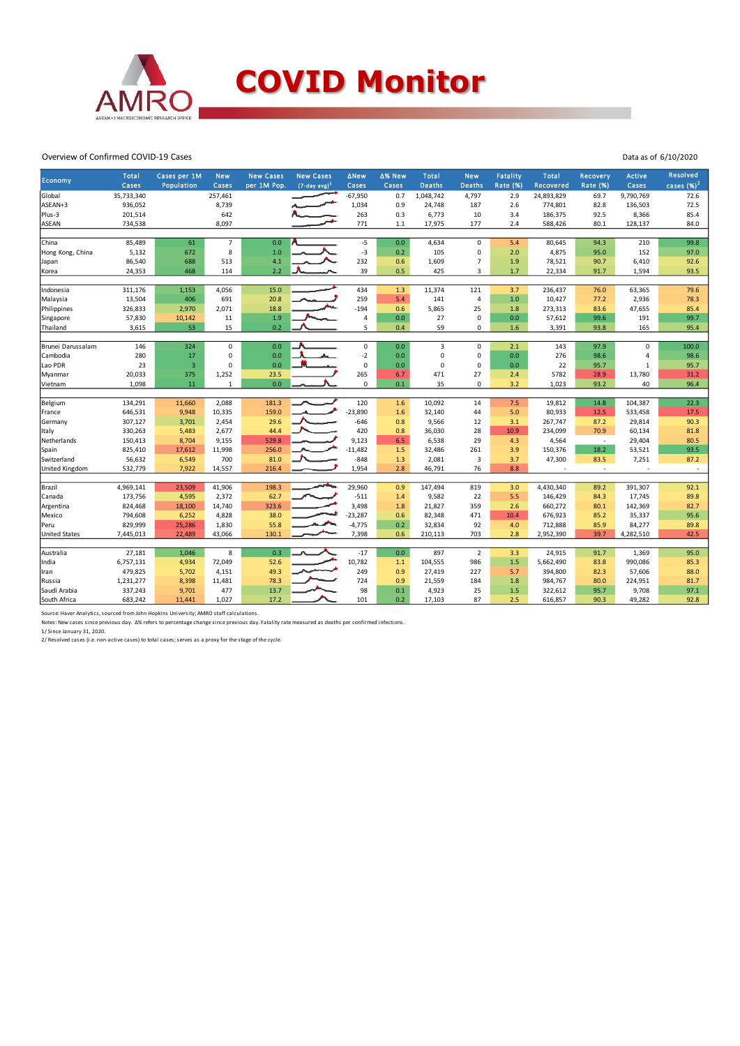

#### Overview of Confirmed COVID-19 Cases

| 35,733,340<br>257,461<br>$-67,950$<br>0.7<br>1,048,742<br>4,797<br>24,893,829<br>9,790,769<br>72.6<br>Global<br>2.9<br>69.7<br>8,739<br>1,034<br>72.5<br>ASEAN+3<br>936,052<br>0.9<br>24,748<br>187<br>2.6<br>774,801<br>82.8<br>136,503<br>201,514<br>642<br>263<br>6,773<br>92.5<br>8,366<br>85.4<br>Plus-3<br>0.3<br>10<br>3.4<br>186,375<br>771<br><b>ASEAN</b><br>734,538<br>8,097<br>2.4<br>84.0<br>1.1<br>17,975<br>177<br>588,426<br>80.1<br>128,137<br>China<br>85,489<br>$\overline{7}$<br>$-5$<br>0.0<br>210<br>99.8<br>61<br>0.0<br>4,634<br>$\mathbf 0$<br>5.4<br>80,645<br>94.3<br>8<br>$-3$<br>5,132<br>1.0<br>0.2<br>105<br>2.0<br>152<br>97.0<br>Hong Kong, China<br>672<br>$\mathbf 0$<br>4,875<br>95.0<br>4.1<br>232<br>86,540<br>688<br>513<br>1,609<br>1.9<br>78,521<br>90.7<br>6,410<br>92.6<br>0.6<br>$\overline{7}$<br>Japan<br>2.2<br>39<br>24,353<br>468<br>0.5<br>425<br>1.7<br>1,594<br>93.5<br>114<br>3<br>22,334<br>91.7<br>Korea<br>311,176<br>15.0<br>434<br>11,374<br>121<br>63,365<br>79.6<br>1,153<br>4,056<br>1.3<br>3.7<br>236,437<br>76.0<br>Indonesia<br>13,504<br>406<br>691<br>20.8<br>259<br>5.4<br>141<br>$\overline{4}$<br>$1.0$<br>10,427<br>77.2<br>2,936<br>78.3<br>Malaysia<br>$-194$<br>Philippines<br>326,833<br>2,970<br>2,071<br>18.8<br>0.6<br>5,865<br>25<br>273,313<br>83.6<br>47,655<br>85.4<br>1.8<br>1.9<br>99.7<br>57,830<br>11<br>4<br>0.0<br>27<br>$\mathbf 0$<br>0.0<br>57,612<br>99.6<br>191<br>Singapore<br>10,142<br>5<br>3,615<br>53<br>15<br>0.2<br>59<br>93.8<br>165<br>95.4<br>Thailand<br>0.4<br>0<br>1.6<br>3,391<br>324<br>0.0<br>$\pmb{0}$<br>0.0<br>$\overline{3}$<br>97.9<br>$\mathbf 0$<br>100.0<br>Brunei Darussalam<br>146<br>$\mathbf 0$<br>$\mathbf 0$<br>2.1<br>143<br>0.0<br>$-2$<br>280<br>$\mathbf 0$<br>276<br>98.6<br>98.6<br>Cambodia<br>17<br>0<br>0.0<br>0<br>0.0<br>$\overline{a}$<br>ـمە<br>$\pmb{0}$<br>23<br>0<br>0.0<br>Lao PDR<br>$\overline{\mathbf{3}}$<br>0.0<br>$\mathbf 0$<br>$\mathbf 0$<br>0.0<br>22<br>95.7<br>$\mathbf 1$<br>95.7<br>265<br>5782<br>31.2<br>20,033<br>375<br>1,252<br>23.5<br>6.7<br>471<br>27<br>2.4<br>28.9<br>13,780<br>Myanmar<br>1,098<br>11<br>$\mathbf{1}$<br>0.0<br>$\mathbf 0$<br>35<br>$\mathbf 0$<br>3.2<br>1,023<br>93.2<br>40<br>0.1<br>96.4<br>Vietnam<br>120<br>22.3<br>134,291<br>2,088<br>181.3<br>1.6<br>10,092<br>14<br>7.5<br>19,812<br>14.8<br>104,387<br>Belgium<br>11,660<br>$-23,890$<br>646,531<br>9,948<br>10,335<br>159.0<br>32,140<br>44<br>5.0<br>80,933<br>12.5<br>533,458<br>17.5<br>1.6<br>France<br>29.6<br>$-646$<br>29,814<br>90.3<br>307,127<br>2,454<br>0.8<br>9,566<br>12<br>3.1<br>267,747<br>87.2<br>3,701<br>Germany<br>330,263<br>2,677<br>44.4<br>420<br>36,030<br>28<br>70.9<br>60,134<br>81.8<br>Italy<br>5,483<br>0.8<br>10.9<br>234,099<br>9,123<br>6.5<br>29<br>29,404<br>80.5<br>150,413<br>8,704<br>9,155<br>529.8<br>6,538<br>4.3<br>4,564<br>Netherlands<br>$\sim$<br>$-11,482$<br>93.5<br>825,410<br>11,998<br>256.0<br>1.5<br>261<br>150,376<br>18.2<br>53,521<br>Spain<br>17,612<br>32,486<br>3.9<br>$-848$<br>56,632<br>700<br>81.0<br>1.3<br>2,081<br>3<br>3.7<br>47,300<br>83.5<br>7,251<br>87.2<br>Switzerland<br>6,549<br>7,922<br>14,557<br>1,954<br>2.8<br>46,791<br>76<br>8.8<br>United Kingdom<br>532,779<br>216.4<br>$\overline{\phantom{a}}$<br>$\overline{\phantom{a}}$<br>ä,<br>Brazil<br>4,969,141<br>41,906<br>198.3<br>29,960<br>819<br>391,307<br>92.1<br>23,509<br>0.9<br>147,494<br>3.0<br>4,430,340<br>89.2<br>173,756<br>2,372<br>62.7<br>$-511$<br>9,582<br>5.5<br>17,745<br>89.8<br>4,595<br>1.4<br>22<br>146,429<br>84.3<br>Canada<br>3,498<br>82.7<br>824,468<br>18,100<br>14,740<br>323.6<br>1.8<br>21,827<br>359<br>2.6<br>660,272<br>80.1<br>142,369<br>Argentina<br>794,608<br>4,828<br>38.0<br>$-23,287$<br>0.6<br>82,348<br>471<br>676,923<br>35,337<br>95.6<br>Mexico<br>6,252<br>10.4<br>85.2 | <b>Economy</b> | <b>Total</b><br>Cases | Cases per 1M<br>Population | <b>New</b><br>Cases | <b>New Cases</b><br>per 1M Pop. | <b>New Cases</b><br>$(7-day avg)^1$ | <b>ANew</b><br>Cases | ∆% New<br>Cases | <b>Total</b><br><b>Deaths</b> | <b>New</b><br><b>Deaths</b> | <b>Fatality</b><br><b>Rate (%)</b> | <b>Total</b><br>Recovered | Recovery<br>Rate (%) | <b>Active</b><br>Cases | <b>Resolved</b><br>cases $(%)2$ |
|---------------------------------------------------------------------------------------------------------------------------------------------------------------------------------------------------------------------------------------------------------------------------------------------------------------------------------------------------------------------------------------------------------------------------------------------------------------------------------------------------------------------------------------------------------------------------------------------------------------------------------------------------------------------------------------------------------------------------------------------------------------------------------------------------------------------------------------------------------------------------------------------------------------------------------------------------------------------------------------------------------------------------------------------------------------------------------------------------------------------------------------------------------------------------------------------------------------------------------------------------------------------------------------------------------------------------------------------------------------------------------------------------------------------------------------------------------------------------------------------------------------------------------------------------------------------------------------------------------------------------------------------------------------------------------------------------------------------------------------------------------------------------------------------------------------------------------------------------------------------------------------------------------------------------------------------------------------------------------------------------------------------------------------------------------------------------------------------------------------------------------------------------------------------------------------------------------------------------------------------------------------------------------------------------------------------------------------------------------------------------------------------------------------------------------------------------------------------------------------------------------------------------------------------------------------------------------------------------------------------------------------------------------------------------------------------------------------------------------------------------------------------------------------------------------------------------------------------------------------------------------------------------------------------------------------------------------------------------------------------------------------------------------------------------------------------------------------------------------------------------------------------------------------------------------------------------------------------------------------------------------------------------------------------------------------------------------------------------------------------------------------------------------------------------------------------------------------------------------------------------------------------------------------------------------------------------------------------------------------------------------------------------------------------------------------------------------------------------------------------------------------------------------------------------------------------------------------------------------------------------------------------------------------|----------------|-----------------------|----------------------------|---------------------|---------------------------------|-------------------------------------|----------------------|-----------------|-------------------------------|-----------------------------|------------------------------------|---------------------------|----------------------|------------------------|---------------------------------|
|                                                                                                                                                                                                                                                                                                                                                                                                                                                                                                                                                                                                                                                                                                                                                                                                                                                                                                                                                                                                                                                                                                                                                                                                                                                                                                                                                                                                                                                                                                                                                                                                                                                                                                                                                                                                                                                                                                                                                                                                                                                                                                                                                                                                                                                                                                                                                                                                                                                                                                                                                                                                                                                                                                                                                                                                                                                                                                                                                                                                                                                                                                                                                                                                                                                                                                                                                                                                                                                                                                                                                                                                                                                                                                                                                                                                                                                                                                               |                |                       |                            |                     |                                 |                                     |                      |                 |                               |                             |                                    |                           |                      |                        |                                 |
|                                                                                                                                                                                                                                                                                                                                                                                                                                                                                                                                                                                                                                                                                                                                                                                                                                                                                                                                                                                                                                                                                                                                                                                                                                                                                                                                                                                                                                                                                                                                                                                                                                                                                                                                                                                                                                                                                                                                                                                                                                                                                                                                                                                                                                                                                                                                                                                                                                                                                                                                                                                                                                                                                                                                                                                                                                                                                                                                                                                                                                                                                                                                                                                                                                                                                                                                                                                                                                                                                                                                                                                                                                                                                                                                                                                                                                                                                                               |                |                       |                            |                     |                                 |                                     |                      |                 |                               |                             |                                    |                           |                      |                        |                                 |
|                                                                                                                                                                                                                                                                                                                                                                                                                                                                                                                                                                                                                                                                                                                                                                                                                                                                                                                                                                                                                                                                                                                                                                                                                                                                                                                                                                                                                                                                                                                                                                                                                                                                                                                                                                                                                                                                                                                                                                                                                                                                                                                                                                                                                                                                                                                                                                                                                                                                                                                                                                                                                                                                                                                                                                                                                                                                                                                                                                                                                                                                                                                                                                                                                                                                                                                                                                                                                                                                                                                                                                                                                                                                                                                                                                                                                                                                                                               |                |                       |                            |                     |                                 |                                     |                      |                 |                               |                             |                                    |                           |                      |                        |                                 |
|                                                                                                                                                                                                                                                                                                                                                                                                                                                                                                                                                                                                                                                                                                                                                                                                                                                                                                                                                                                                                                                                                                                                                                                                                                                                                                                                                                                                                                                                                                                                                                                                                                                                                                                                                                                                                                                                                                                                                                                                                                                                                                                                                                                                                                                                                                                                                                                                                                                                                                                                                                                                                                                                                                                                                                                                                                                                                                                                                                                                                                                                                                                                                                                                                                                                                                                                                                                                                                                                                                                                                                                                                                                                                                                                                                                                                                                                                                               |                |                       |                            |                     |                                 |                                     |                      |                 |                               |                             |                                    |                           |                      |                        |                                 |
|                                                                                                                                                                                                                                                                                                                                                                                                                                                                                                                                                                                                                                                                                                                                                                                                                                                                                                                                                                                                                                                                                                                                                                                                                                                                                                                                                                                                                                                                                                                                                                                                                                                                                                                                                                                                                                                                                                                                                                                                                                                                                                                                                                                                                                                                                                                                                                                                                                                                                                                                                                                                                                                                                                                                                                                                                                                                                                                                                                                                                                                                                                                                                                                                                                                                                                                                                                                                                                                                                                                                                                                                                                                                                                                                                                                                                                                                                                               |                |                       |                            |                     |                                 |                                     |                      |                 |                               |                             |                                    |                           |                      |                        |                                 |
|                                                                                                                                                                                                                                                                                                                                                                                                                                                                                                                                                                                                                                                                                                                                                                                                                                                                                                                                                                                                                                                                                                                                                                                                                                                                                                                                                                                                                                                                                                                                                                                                                                                                                                                                                                                                                                                                                                                                                                                                                                                                                                                                                                                                                                                                                                                                                                                                                                                                                                                                                                                                                                                                                                                                                                                                                                                                                                                                                                                                                                                                                                                                                                                                                                                                                                                                                                                                                                                                                                                                                                                                                                                                                                                                                                                                                                                                                                               |                |                       |                            |                     |                                 |                                     |                      |                 |                               |                             |                                    |                           |                      |                        |                                 |
|                                                                                                                                                                                                                                                                                                                                                                                                                                                                                                                                                                                                                                                                                                                                                                                                                                                                                                                                                                                                                                                                                                                                                                                                                                                                                                                                                                                                                                                                                                                                                                                                                                                                                                                                                                                                                                                                                                                                                                                                                                                                                                                                                                                                                                                                                                                                                                                                                                                                                                                                                                                                                                                                                                                                                                                                                                                                                                                                                                                                                                                                                                                                                                                                                                                                                                                                                                                                                                                                                                                                                                                                                                                                                                                                                                                                                                                                                                               |                |                       |                            |                     |                                 |                                     |                      |                 |                               |                             |                                    |                           |                      |                        |                                 |
|                                                                                                                                                                                                                                                                                                                                                                                                                                                                                                                                                                                                                                                                                                                                                                                                                                                                                                                                                                                                                                                                                                                                                                                                                                                                                                                                                                                                                                                                                                                                                                                                                                                                                                                                                                                                                                                                                                                                                                                                                                                                                                                                                                                                                                                                                                                                                                                                                                                                                                                                                                                                                                                                                                                                                                                                                                                                                                                                                                                                                                                                                                                                                                                                                                                                                                                                                                                                                                                                                                                                                                                                                                                                                                                                                                                                                                                                                                               |                |                       |                            |                     |                                 |                                     |                      |                 |                               |                             |                                    |                           |                      |                        |                                 |
|                                                                                                                                                                                                                                                                                                                                                                                                                                                                                                                                                                                                                                                                                                                                                                                                                                                                                                                                                                                                                                                                                                                                                                                                                                                                                                                                                                                                                                                                                                                                                                                                                                                                                                                                                                                                                                                                                                                                                                                                                                                                                                                                                                                                                                                                                                                                                                                                                                                                                                                                                                                                                                                                                                                                                                                                                                                                                                                                                                                                                                                                                                                                                                                                                                                                                                                                                                                                                                                                                                                                                                                                                                                                                                                                                                                                                                                                                                               |                |                       |                            |                     |                                 |                                     |                      |                 |                               |                             |                                    |                           |                      |                        |                                 |
|                                                                                                                                                                                                                                                                                                                                                                                                                                                                                                                                                                                                                                                                                                                                                                                                                                                                                                                                                                                                                                                                                                                                                                                                                                                                                                                                                                                                                                                                                                                                                                                                                                                                                                                                                                                                                                                                                                                                                                                                                                                                                                                                                                                                                                                                                                                                                                                                                                                                                                                                                                                                                                                                                                                                                                                                                                                                                                                                                                                                                                                                                                                                                                                                                                                                                                                                                                                                                                                                                                                                                                                                                                                                                                                                                                                                                                                                                                               |                |                       |                            |                     |                                 |                                     |                      |                 |                               |                             |                                    |                           |                      |                        |                                 |
|                                                                                                                                                                                                                                                                                                                                                                                                                                                                                                                                                                                                                                                                                                                                                                                                                                                                                                                                                                                                                                                                                                                                                                                                                                                                                                                                                                                                                                                                                                                                                                                                                                                                                                                                                                                                                                                                                                                                                                                                                                                                                                                                                                                                                                                                                                                                                                                                                                                                                                                                                                                                                                                                                                                                                                                                                                                                                                                                                                                                                                                                                                                                                                                                                                                                                                                                                                                                                                                                                                                                                                                                                                                                                                                                                                                                                                                                                                               |                |                       |                            |                     |                                 |                                     |                      |                 |                               |                             |                                    |                           |                      |                        |                                 |
|                                                                                                                                                                                                                                                                                                                                                                                                                                                                                                                                                                                                                                                                                                                                                                                                                                                                                                                                                                                                                                                                                                                                                                                                                                                                                                                                                                                                                                                                                                                                                                                                                                                                                                                                                                                                                                                                                                                                                                                                                                                                                                                                                                                                                                                                                                                                                                                                                                                                                                                                                                                                                                                                                                                                                                                                                                                                                                                                                                                                                                                                                                                                                                                                                                                                                                                                                                                                                                                                                                                                                                                                                                                                                                                                                                                                                                                                                                               |                |                       |                            |                     |                                 |                                     |                      |                 |                               |                             |                                    |                           |                      |                        |                                 |
|                                                                                                                                                                                                                                                                                                                                                                                                                                                                                                                                                                                                                                                                                                                                                                                                                                                                                                                                                                                                                                                                                                                                                                                                                                                                                                                                                                                                                                                                                                                                                                                                                                                                                                                                                                                                                                                                                                                                                                                                                                                                                                                                                                                                                                                                                                                                                                                                                                                                                                                                                                                                                                                                                                                                                                                                                                                                                                                                                                                                                                                                                                                                                                                                                                                                                                                                                                                                                                                                                                                                                                                                                                                                                                                                                                                                                                                                                                               |                |                       |                            |                     |                                 |                                     |                      |                 |                               |                             |                                    |                           |                      |                        |                                 |
|                                                                                                                                                                                                                                                                                                                                                                                                                                                                                                                                                                                                                                                                                                                                                                                                                                                                                                                                                                                                                                                                                                                                                                                                                                                                                                                                                                                                                                                                                                                                                                                                                                                                                                                                                                                                                                                                                                                                                                                                                                                                                                                                                                                                                                                                                                                                                                                                                                                                                                                                                                                                                                                                                                                                                                                                                                                                                                                                                                                                                                                                                                                                                                                                                                                                                                                                                                                                                                                                                                                                                                                                                                                                                                                                                                                                                                                                                                               |                |                       |                            |                     |                                 |                                     |                      |                 |                               |                             |                                    |                           |                      |                        |                                 |
|                                                                                                                                                                                                                                                                                                                                                                                                                                                                                                                                                                                                                                                                                                                                                                                                                                                                                                                                                                                                                                                                                                                                                                                                                                                                                                                                                                                                                                                                                                                                                                                                                                                                                                                                                                                                                                                                                                                                                                                                                                                                                                                                                                                                                                                                                                                                                                                                                                                                                                                                                                                                                                                                                                                                                                                                                                                                                                                                                                                                                                                                                                                                                                                                                                                                                                                                                                                                                                                                                                                                                                                                                                                                                                                                                                                                                                                                                                               |                |                       |                            |                     |                                 |                                     |                      |                 |                               |                             |                                    |                           |                      |                        |                                 |
|                                                                                                                                                                                                                                                                                                                                                                                                                                                                                                                                                                                                                                                                                                                                                                                                                                                                                                                                                                                                                                                                                                                                                                                                                                                                                                                                                                                                                                                                                                                                                                                                                                                                                                                                                                                                                                                                                                                                                                                                                                                                                                                                                                                                                                                                                                                                                                                                                                                                                                                                                                                                                                                                                                                                                                                                                                                                                                                                                                                                                                                                                                                                                                                                                                                                                                                                                                                                                                                                                                                                                                                                                                                                                                                                                                                                                                                                                                               |                |                       |                            |                     |                                 |                                     |                      |                 |                               |                             |                                    |                           |                      |                        |                                 |
|                                                                                                                                                                                                                                                                                                                                                                                                                                                                                                                                                                                                                                                                                                                                                                                                                                                                                                                                                                                                                                                                                                                                                                                                                                                                                                                                                                                                                                                                                                                                                                                                                                                                                                                                                                                                                                                                                                                                                                                                                                                                                                                                                                                                                                                                                                                                                                                                                                                                                                                                                                                                                                                                                                                                                                                                                                                                                                                                                                                                                                                                                                                                                                                                                                                                                                                                                                                                                                                                                                                                                                                                                                                                                                                                                                                                                                                                                                               |                |                       |                            |                     |                                 |                                     |                      |                 |                               |                             |                                    |                           |                      |                        |                                 |
|                                                                                                                                                                                                                                                                                                                                                                                                                                                                                                                                                                                                                                                                                                                                                                                                                                                                                                                                                                                                                                                                                                                                                                                                                                                                                                                                                                                                                                                                                                                                                                                                                                                                                                                                                                                                                                                                                                                                                                                                                                                                                                                                                                                                                                                                                                                                                                                                                                                                                                                                                                                                                                                                                                                                                                                                                                                                                                                                                                                                                                                                                                                                                                                                                                                                                                                                                                                                                                                                                                                                                                                                                                                                                                                                                                                                                                                                                                               |                |                       |                            |                     |                                 |                                     |                      |                 |                               |                             |                                    |                           |                      |                        |                                 |
|                                                                                                                                                                                                                                                                                                                                                                                                                                                                                                                                                                                                                                                                                                                                                                                                                                                                                                                                                                                                                                                                                                                                                                                                                                                                                                                                                                                                                                                                                                                                                                                                                                                                                                                                                                                                                                                                                                                                                                                                                                                                                                                                                                                                                                                                                                                                                                                                                                                                                                                                                                                                                                                                                                                                                                                                                                                                                                                                                                                                                                                                                                                                                                                                                                                                                                                                                                                                                                                                                                                                                                                                                                                                                                                                                                                                                                                                                                               |                |                       |                            |                     |                                 |                                     |                      |                 |                               |                             |                                    |                           |                      |                        |                                 |
|                                                                                                                                                                                                                                                                                                                                                                                                                                                                                                                                                                                                                                                                                                                                                                                                                                                                                                                                                                                                                                                                                                                                                                                                                                                                                                                                                                                                                                                                                                                                                                                                                                                                                                                                                                                                                                                                                                                                                                                                                                                                                                                                                                                                                                                                                                                                                                                                                                                                                                                                                                                                                                                                                                                                                                                                                                                                                                                                                                                                                                                                                                                                                                                                                                                                                                                                                                                                                                                                                                                                                                                                                                                                                                                                                                                                                                                                                                               |                |                       |                            |                     |                                 |                                     |                      |                 |                               |                             |                                    |                           |                      |                        |                                 |
|                                                                                                                                                                                                                                                                                                                                                                                                                                                                                                                                                                                                                                                                                                                                                                                                                                                                                                                                                                                                                                                                                                                                                                                                                                                                                                                                                                                                                                                                                                                                                                                                                                                                                                                                                                                                                                                                                                                                                                                                                                                                                                                                                                                                                                                                                                                                                                                                                                                                                                                                                                                                                                                                                                                                                                                                                                                                                                                                                                                                                                                                                                                                                                                                                                                                                                                                                                                                                                                                                                                                                                                                                                                                                                                                                                                                                                                                                                               |                |                       |                            |                     |                                 |                                     |                      |                 |                               |                             |                                    |                           |                      |                        |                                 |
|                                                                                                                                                                                                                                                                                                                                                                                                                                                                                                                                                                                                                                                                                                                                                                                                                                                                                                                                                                                                                                                                                                                                                                                                                                                                                                                                                                                                                                                                                                                                                                                                                                                                                                                                                                                                                                                                                                                                                                                                                                                                                                                                                                                                                                                                                                                                                                                                                                                                                                                                                                                                                                                                                                                                                                                                                                                                                                                                                                                                                                                                                                                                                                                                                                                                                                                                                                                                                                                                                                                                                                                                                                                                                                                                                                                                                                                                                                               |                |                       |                            |                     |                                 |                                     |                      |                 |                               |                             |                                    |                           |                      |                        |                                 |
|                                                                                                                                                                                                                                                                                                                                                                                                                                                                                                                                                                                                                                                                                                                                                                                                                                                                                                                                                                                                                                                                                                                                                                                                                                                                                                                                                                                                                                                                                                                                                                                                                                                                                                                                                                                                                                                                                                                                                                                                                                                                                                                                                                                                                                                                                                                                                                                                                                                                                                                                                                                                                                                                                                                                                                                                                                                                                                                                                                                                                                                                                                                                                                                                                                                                                                                                                                                                                                                                                                                                                                                                                                                                                                                                                                                                                                                                                                               |                |                       |                            |                     |                                 |                                     |                      |                 |                               |                             |                                    |                           |                      |                        |                                 |
|                                                                                                                                                                                                                                                                                                                                                                                                                                                                                                                                                                                                                                                                                                                                                                                                                                                                                                                                                                                                                                                                                                                                                                                                                                                                                                                                                                                                                                                                                                                                                                                                                                                                                                                                                                                                                                                                                                                                                                                                                                                                                                                                                                                                                                                                                                                                                                                                                                                                                                                                                                                                                                                                                                                                                                                                                                                                                                                                                                                                                                                                                                                                                                                                                                                                                                                                                                                                                                                                                                                                                                                                                                                                                                                                                                                                                                                                                                               |                |                       |                            |                     |                                 |                                     |                      |                 |                               |                             |                                    |                           |                      |                        |                                 |
|                                                                                                                                                                                                                                                                                                                                                                                                                                                                                                                                                                                                                                                                                                                                                                                                                                                                                                                                                                                                                                                                                                                                                                                                                                                                                                                                                                                                                                                                                                                                                                                                                                                                                                                                                                                                                                                                                                                                                                                                                                                                                                                                                                                                                                                                                                                                                                                                                                                                                                                                                                                                                                                                                                                                                                                                                                                                                                                                                                                                                                                                                                                                                                                                                                                                                                                                                                                                                                                                                                                                                                                                                                                                                                                                                                                                                                                                                                               |                |                       |                            |                     |                                 |                                     |                      |                 |                               |                             |                                    |                           |                      |                        |                                 |
|                                                                                                                                                                                                                                                                                                                                                                                                                                                                                                                                                                                                                                                                                                                                                                                                                                                                                                                                                                                                                                                                                                                                                                                                                                                                                                                                                                                                                                                                                                                                                                                                                                                                                                                                                                                                                                                                                                                                                                                                                                                                                                                                                                                                                                                                                                                                                                                                                                                                                                                                                                                                                                                                                                                                                                                                                                                                                                                                                                                                                                                                                                                                                                                                                                                                                                                                                                                                                                                                                                                                                                                                                                                                                                                                                                                                                                                                                                               |                |                       |                            |                     |                                 |                                     |                      |                 |                               |                             |                                    |                           |                      |                        |                                 |
|                                                                                                                                                                                                                                                                                                                                                                                                                                                                                                                                                                                                                                                                                                                                                                                                                                                                                                                                                                                                                                                                                                                                                                                                                                                                                                                                                                                                                                                                                                                                                                                                                                                                                                                                                                                                                                                                                                                                                                                                                                                                                                                                                                                                                                                                                                                                                                                                                                                                                                                                                                                                                                                                                                                                                                                                                                                                                                                                                                                                                                                                                                                                                                                                                                                                                                                                                                                                                                                                                                                                                                                                                                                                                                                                                                                                                                                                                                               |                |                       |                            |                     |                                 |                                     |                      |                 |                               |                             |                                    |                           |                      |                        |                                 |
|                                                                                                                                                                                                                                                                                                                                                                                                                                                                                                                                                                                                                                                                                                                                                                                                                                                                                                                                                                                                                                                                                                                                                                                                                                                                                                                                                                                                                                                                                                                                                                                                                                                                                                                                                                                                                                                                                                                                                                                                                                                                                                                                                                                                                                                                                                                                                                                                                                                                                                                                                                                                                                                                                                                                                                                                                                                                                                                                                                                                                                                                                                                                                                                                                                                                                                                                                                                                                                                                                                                                                                                                                                                                                                                                                                                                                                                                                                               |                |                       |                            |                     |                                 |                                     |                      |                 |                               |                             |                                    |                           |                      |                        |                                 |
|                                                                                                                                                                                                                                                                                                                                                                                                                                                                                                                                                                                                                                                                                                                                                                                                                                                                                                                                                                                                                                                                                                                                                                                                                                                                                                                                                                                                                                                                                                                                                                                                                                                                                                                                                                                                                                                                                                                                                                                                                                                                                                                                                                                                                                                                                                                                                                                                                                                                                                                                                                                                                                                                                                                                                                                                                                                                                                                                                                                                                                                                                                                                                                                                                                                                                                                                                                                                                                                                                                                                                                                                                                                                                                                                                                                                                                                                                                               |                |                       |                            |                     |                                 |                                     |                      |                 |                               |                             |                                    |                           |                      |                        |                                 |
|                                                                                                                                                                                                                                                                                                                                                                                                                                                                                                                                                                                                                                                                                                                                                                                                                                                                                                                                                                                                                                                                                                                                                                                                                                                                                                                                                                                                                                                                                                                                                                                                                                                                                                                                                                                                                                                                                                                                                                                                                                                                                                                                                                                                                                                                                                                                                                                                                                                                                                                                                                                                                                                                                                                                                                                                                                                                                                                                                                                                                                                                                                                                                                                                                                                                                                                                                                                                                                                                                                                                                                                                                                                                                                                                                                                                                                                                                                               |                |                       |                            |                     |                                 |                                     |                      |                 |                               |                             |                                    |                           |                      |                        |                                 |
|                                                                                                                                                                                                                                                                                                                                                                                                                                                                                                                                                                                                                                                                                                                                                                                                                                                                                                                                                                                                                                                                                                                                                                                                                                                                                                                                                                                                                                                                                                                                                                                                                                                                                                                                                                                                                                                                                                                                                                                                                                                                                                                                                                                                                                                                                                                                                                                                                                                                                                                                                                                                                                                                                                                                                                                                                                                                                                                                                                                                                                                                                                                                                                                                                                                                                                                                                                                                                                                                                                                                                                                                                                                                                                                                                                                                                                                                                                               |                |                       |                            |                     |                                 |                                     |                      |                 |                               |                             |                                    |                           |                      |                        |                                 |
|                                                                                                                                                                                                                                                                                                                                                                                                                                                                                                                                                                                                                                                                                                                                                                                                                                                                                                                                                                                                                                                                                                                                                                                                                                                                                                                                                                                                                                                                                                                                                                                                                                                                                                                                                                                                                                                                                                                                                                                                                                                                                                                                                                                                                                                                                                                                                                                                                                                                                                                                                                                                                                                                                                                                                                                                                                                                                                                                                                                                                                                                                                                                                                                                                                                                                                                                                                                                                                                                                                                                                                                                                                                                                                                                                                                                                                                                                                               |                |                       |                            |                     |                                 |                                     |                      |                 |                               |                             |                                    |                           |                      |                        |                                 |
|                                                                                                                                                                                                                                                                                                                                                                                                                                                                                                                                                                                                                                                                                                                                                                                                                                                                                                                                                                                                                                                                                                                                                                                                                                                                                                                                                                                                                                                                                                                                                                                                                                                                                                                                                                                                                                                                                                                                                                                                                                                                                                                                                                                                                                                                                                                                                                                                                                                                                                                                                                                                                                                                                                                                                                                                                                                                                                                                                                                                                                                                                                                                                                                                                                                                                                                                                                                                                                                                                                                                                                                                                                                                                                                                                                                                                                                                                                               |                |                       |                            |                     |                                 |                                     |                      |                 |                               |                             |                                    |                           |                      |                        |                                 |
|                                                                                                                                                                                                                                                                                                                                                                                                                                                                                                                                                                                                                                                                                                                                                                                                                                                                                                                                                                                                                                                                                                                                                                                                                                                                                                                                                                                                                                                                                                                                                                                                                                                                                                                                                                                                                                                                                                                                                                                                                                                                                                                                                                                                                                                                                                                                                                                                                                                                                                                                                                                                                                                                                                                                                                                                                                                                                                                                                                                                                                                                                                                                                                                                                                                                                                                                                                                                                                                                                                                                                                                                                                                                                                                                                                                                                                                                                                               |                |                       |                            |                     |                                 |                                     |                      |                 |                               |                             |                                    |                           |                      |                        |                                 |
| 829,999<br>55.8<br>$-4,775$<br>0.2<br>32,834<br>92<br>84,277<br>89.8<br>25,286<br>1,830<br>4.0<br>712,888<br>85.9<br>Peru                                                                                                                                                                                                                                                                                                                                                                                                                                                                                                                                                                                                                                                                                                                                                                                                                                                                                                                                                                                                                                                                                                                                                                                                                                                                                                                                                                                                                                                                                                                                                                                                                                                                                                                                                                                                                                                                                                                                                                                                                                                                                                                                                                                                                                                                                                                                                                                                                                                                                                                                                                                                                                                                                                                                                                                                                                                                                                                                                                                                                                                                                                                                                                                                                                                                                                                                                                                                                                                                                                                                                                                                                                                                                                                                                                                     |                |                       |                            |                     |                                 |                                     |                      |                 |                               |                             |                                    |                           |                      |                        |                                 |
| <b>United States</b><br>7,445,013<br>22,489<br>43,066<br>130.1<br>7,398<br>0.6<br>210,113<br>703<br>2,952,390<br>4,282,510<br>42.5<br>2.8<br>39.7                                                                                                                                                                                                                                                                                                                                                                                                                                                                                                                                                                                                                                                                                                                                                                                                                                                                                                                                                                                                                                                                                                                                                                                                                                                                                                                                                                                                                                                                                                                                                                                                                                                                                                                                                                                                                                                                                                                                                                                                                                                                                                                                                                                                                                                                                                                                                                                                                                                                                                                                                                                                                                                                                                                                                                                                                                                                                                                                                                                                                                                                                                                                                                                                                                                                                                                                                                                                                                                                                                                                                                                                                                                                                                                                                             |                |                       |                            |                     |                                 |                                     |                      |                 |                               |                             |                                    |                           |                      |                        |                                 |
|                                                                                                                                                                                                                                                                                                                                                                                                                                                                                                                                                                                                                                                                                                                                                                                                                                                                                                                                                                                                                                                                                                                                                                                                                                                                                                                                                                                                                                                                                                                                                                                                                                                                                                                                                                                                                                                                                                                                                                                                                                                                                                                                                                                                                                                                                                                                                                                                                                                                                                                                                                                                                                                                                                                                                                                                                                                                                                                                                                                                                                                                                                                                                                                                                                                                                                                                                                                                                                                                                                                                                                                                                                                                                                                                                                                                                                                                                                               |                |                       |                            |                     |                                 |                                     |                      |                 |                               |                             |                                    |                           |                      |                        |                                 |
| 8<br>0.3<br>$-17$<br>0.0<br>$\overline{2}$<br>95.0<br>Australia<br>27,181<br>1,046<br>897<br>3.3<br>24,915<br>91.7<br>1,369                                                                                                                                                                                                                                                                                                                                                                                                                                                                                                                                                                                                                                                                                                                                                                                                                                                                                                                                                                                                                                                                                                                                                                                                                                                                                                                                                                                                                                                                                                                                                                                                                                                                                                                                                                                                                                                                                                                                                                                                                                                                                                                                                                                                                                                                                                                                                                                                                                                                                                                                                                                                                                                                                                                                                                                                                                                                                                                                                                                                                                                                                                                                                                                                                                                                                                                                                                                                                                                                                                                                                                                                                                                                                                                                                                                   |                |                       |                            |                     |                                 |                                     |                      |                 |                               |                             |                                    |                           |                      |                        |                                 |
| 6,757,131<br>72,049<br>52.6<br>10,782<br>986<br>1.5<br>990,086<br>India<br>4,934<br>1.1<br>104,555<br>5,662,490<br>83.8<br>85.3                                                                                                                                                                                                                                                                                                                                                                                                                                                                                                                                                                                                                                                                                                                                                                                                                                                                                                                                                                                                                                                                                                                                                                                                                                                                                                                                                                                                                                                                                                                                                                                                                                                                                                                                                                                                                                                                                                                                                                                                                                                                                                                                                                                                                                                                                                                                                                                                                                                                                                                                                                                                                                                                                                                                                                                                                                                                                                                                                                                                                                                                                                                                                                                                                                                                                                                                                                                                                                                                                                                                                                                                                                                                                                                                                                               |                |                       |                            |                     |                                 |                                     |                      |                 |                               |                             |                                    |                           |                      |                        |                                 |
| 49.3<br>479,825<br>249<br>0.9<br>5.7<br>57,606<br>88.0<br>5,702<br>4,151<br>27,419<br>227<br>394,800<br>82.3<br>Iran                                                                                                                                                                                                                                                                                                                                                                                                                                                                                                                                                                                                                                                                                                                                                                                                                                                                                                                                                                                                                                                                                                                                                                                                                                                                                                                                                                                                                                                                                                                                                                                                                                                                                                                                                                                                                                                                                                                                                                                                                                                                                                                                                                                                                                                                                                                                                                                                                                                                                                                                                                                                                                                                                                                                                                                                                                                                                                                                                                                                                                                                                                                                                                                                                                                                                                                                                                                                                                                                                                                                                                                                                                                                                                                                                                                          |                |                       |                            |                     |                                 |                                     |                      |                 |                               |                             |                                    |                           |                      |                        |                                 |
| 78.3<br>724<br>224,951<br>1,231,277<br>8,398<br>11,481<br>0.9<br>21,559<br>184<br>1.8<br>984,767<br>80.0<br>81.7<br>Russia                                                                                                                                                                                                                                                                                                                                                                                                                                                                                                                                                                                                                                                                                                                                                                                                                                                                                                                                                                                                                                                                                                                                                                                                                                                                                                                                                                                                                                                                                                                                                                                                                                                                                                                                                                                                                                                                                                                                                                                                                                                                                                                                                                                                                                                                                                                                                                                                                                                                                                                                                                                                                                                                                                                                                                                                                                                                                                                                                                                                                                                                                                                                                                                                                                                                                                                                                                                                                                                                                                                                                                                                                                                                                                                                                                                    |                |                       |                            |                     |                                 |                                     |                      |                 |                               |                             |                                    |                           |                      |                        |                                 |
| 477<br>13.7<br>98<br>9,708<br>97.1<br>Saudi Arabia<br>337,243<br>9,701<br>0.1<br>4,923<br>25<br>1.5<br>322,612<br>95.7                                                                                                                                                                                                                                                                                                                                                                                                                                                                                                                                                                                                                                                                                                                                                                                                                                                                                                                                                                                                                                                                                                                                                                                                                                                                                                                                                                                                                                                                                                                                                                                                                                                                                                                                                                                                                                                                                                                                                                                                                                                                                                                                                                                                                                                                                                                                                                                                                                                                                                                                                                                                                                                                                                                                                                                                                                                                                                                                                                                                                                                                                                                                                                                                                                                                                                                                                                                                                                                                                                                                                                                                                                                                                                                                                                                        |                |                       |                            |                     |                                 |                                     |                      |                 |                               |                             |                                    |                           |                      |                        |                                 |
| South Africa<br>1,027<br>17.2<br>101<br>0.2<br>87<br>2.5<br>90.3<br>49,282<br>92.8<br>683,242<br>11,441<br>17,103<br>616,857                                                                                                                                                                                                                                                                                                                                                                                                                                                                                                                                                                                                                                                                                                                                                                                                                                                                                                                                                                                                                                                                                                                                                                                                                                                                                                                                                                                                                                                                                                                                                                                                                                                                                                                                                                                                                                                                                                                                                                                                                                                                                                                                                                                                                                                                                                                                                                                                                                                                                                                                                                                                                                                                                                                                                                                                                                                                                                                                                                                                                                                                                                                                                                                                                                                                                                                                                                                                                                                                                                                                                                                                                                                                                                                                                                                  |                |                       |                            |                     |                                 |                                     |                      |                 |                               |                             |                                    |                           |                      |                        |                                 |

Source: Haver Analytics, sourced from John Hopkins University; AMRO staff calculations.<br>Notes: New cases since previous day. Δ% refers to percentage change since previous day. Fatality rate measured as deaths per confirmed

1/ Since January 31, 2020. 2/ Resolved cases (i.e. non-active cases) to total cases; serves as a proxy for the stage of the cycle.

Data as of 6/10/2020